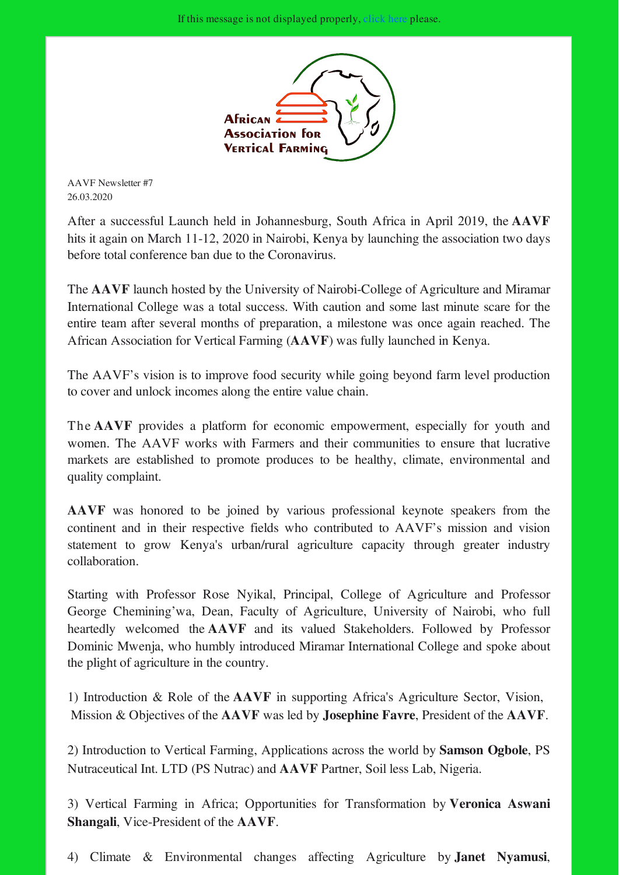

AAVF Newsletter #7 26.03.2020

After a successful Launch held in Johannesburg, South Africa in April 2019, the AAVF hits it again on March 11-12, 2020 in Nairobi, Kenya by launching the association two days before total conference ban due to the Coronavirus.

The AAVF launch hosted by the University of Nairobi-College of Agriculture and Miramar International College was a total success. With caution and some last minute scare for the entire team after several months of preparation, a milestone was once again reached. The African Association for Vertical Farming (AAVF) was fully launched in Kenya.

The AAVF's vision is to improve food security while going beyond farm level production to cover and unlock incomes along the entire value chain.

The AAVF provides a platform for economic empowerment, especially for youth and women. The AAVF works with Farmers and their communities to ensure that lucrative markets are established to promote produces to be healthy, climate, environmental and quality complaint.

AAVF was honored to be joined by various professional keynote speakers from the continent and in their respective fields who contributed to AAVF's mission and vision statement to grow Kenya's urban/rural agriculture capacity through greater industry collaboration.

Starting with Professor Rose Nyikal, Principal, College of Agriculture and Professor George Chemining'wa, Dean, Faculty of Agriculture, University of Nairobi, who full heartedly welcomed the AAVF and its valued Stakeholders. Followed by Professor Dominic Mwenja, who humbly introduced Miramar International College and spoke about the plight of agriculture in the country.

1) Introduction & Role of the AAVF in supporting Africa's Agriculture Sector, Vision, Mission & Objectives of the AAVF was led by Josephine Favre, President of the AAVF.

2) Introduction to Vertical Farming, Applications across the world by Samson Ogbole, PS Nutraceutical Int. LTD (PS Nutrac) and AAVF Partner, Soil less Lab, Nigeria.

3) Vertical Farming in Africa; Opportunities for Transformation by Veronica Aswani Shangali, Vice-President of the AAVF.

4) Climate & Environmental changes affecting Agriculture by Janet Nyamusi,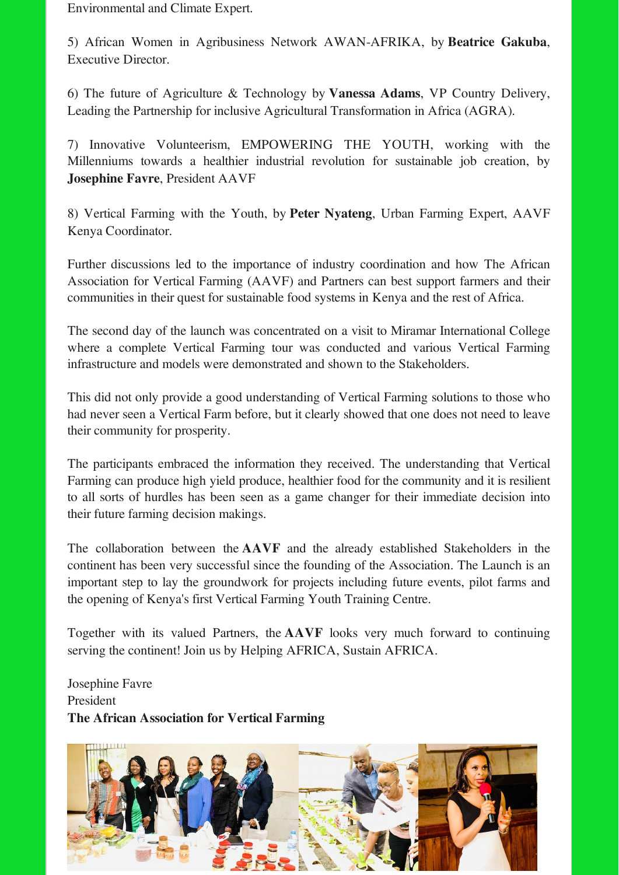Environmental and Climate Expert.

5) African Women in Agribusiness Network AWAN-AFRIKA, by Beatrice Gakuba, Executive Director.

6) The future of Agriculture & Technology by Vanessa Adams, VP Country Delivery, Leading the Partnership for inclusive Agricultural Transformation in Africa (AGRA).

7) Innovative Volunteerism, EMPOWERING THE YOUTH, working with the Millenniums towards a healthier industrial revolution for sustainable job creation, by Josephine Favre, President AAVF

8) Vertical Farming with the Youth, by Peter Nyateng, Urban Farming Expert, AAVF Kenya Coordinator.

Further discussions led to the importance of industry coordination and how The African Association for Vertical Farming (AAVF) and Partners can best support farmers and their communities in their quest for sustainable food systems in Kenya and the rest of Africa.

The second day of the launch was concentrated on a visit to Miramar International College where a complete Vertical Farming tour was conducted and various Vertical Farming infrastructure and models were demonstrated and shown to the Stakeholders.

This did not only provide a good understanding of Vertical Farming solutions to those who had never seen a Vertical Farm before, but it clearly showed that one does not need to leave their community for prosperity.

The participants embraced the information they received. The understanding that Vertical Farming can produce high yield produce, healthier food for the community and it is resilient to all sorts of hurdles has been seen as a game changer for their immediate decision into their future farming decision makings.

The collaboration between the AAVF and the already established Stakeholders in the continent has been very successful since the founding of the Association. The Launch is an important step to lay the groundwork for projects including future events, pilot farms and the opening of Kenya's first Vertical Farming Youth Training Centre.

Together with its valued Partners, the AAVF looks very much forward to continuing serving the continent! Join us by Helping AFRICA, Sustain AFRICA.

Josephine Favre President The African Association for Vertical Farming